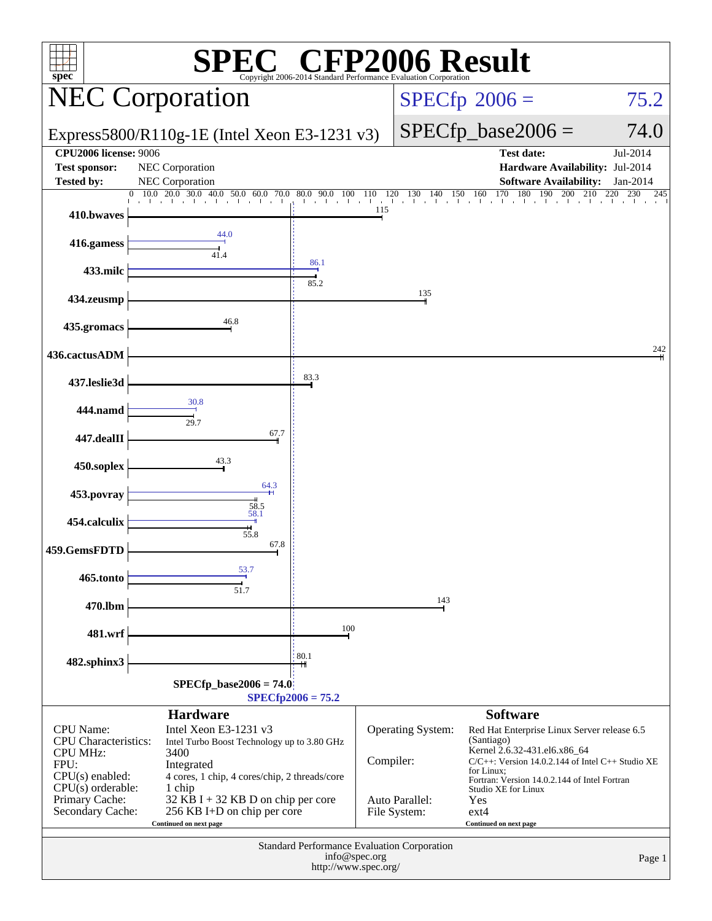| $\mathbb{C}^{\circ}$ CFP2006 Result<br>spec <sup>®</sup><br>Copyright 2006-2014 Standard Performance Evaluation O                                            |                                                                                                                                                                                                                                                                         |                     |                           |                                                                                 |                                                                                                                                                                                                                                                                                                         |                      |
|--------------------------------------------------------------------------------------------------------------------------------------------------------------|-------------------------------------------------------------------------------------------------------------------------------------------------------------------------------------------------------------------------------------------------------------------------|---------------------|---------------------------|---------------------------------------------------------------------------------|---------------------------------------------------------------------------------------------------------------------------------------------------------------------------------------------------------------------------------------------------------------------------------------------------------|----------------------|
|                                                                                                                                                              | <b>NEC Corporation</b>                                                                                                                                                                                                                                                  |                     |                           |                                                                                 | $SPECfp^{\circledast}2006 =$                                                                                                                                                                                                                                                                            | 75.2                 |
|                                                                                                                                                              | Express5800/R110g-1E (Intel Xeon E3-1231 v3)                                                                                                                                                                                                                            |                     |                           |                                                                                 | $SPECfp\_base2006 =$                                                                                                                                                                                                                                                                                    | 74.0                 |
| <b>CPU2006 license: 9006</b><br><b>Test sponsor:</b><br><b>Tested by:</b>                                                                                    | NEC Corporation<br><b>NEC Corporation</b>                                                                                                                                                                                                                               |                     |                           |                                                                                 | <b>Test date:</b><br>Hardware Availability: Jul-2014<br><b>Software Availability:</b>                                                                                                                                                                                                                   | Jul-2014<br>Jan-2014 |
| 410.bwaves                                                                                                                                                   | 10.0<br>$20.0$ 30.0 40.0 50.0 60.0 70.0 80.0 90.0 100 110<br>$\mathbf{0}$                                                                                                                                                                                               |                     | 120<br>115                | $\frac{120}{1}$ $\frac{130}{1}$ $\frac{140}{1}$ $\frac{150}{1}$ $\frac{160}{1}$ | 170<br>180<br>190<br>200<br>210                                                                                                                                                                                                                                                                         | 220<br>230<br>245    |
| 416.gamess                                                                                                                                                   | 44.0<br>41.4                                                                                                                                                                                                                                                            |                     |                           |                                                                                 |                                                                                                                                                                                                                                                                                                         |                      |
| 433.milc                                                                                                                                                     |                                                                                                                                                                                                                                                                         | 86.1<br>85.2        |                           |                                                                                 |                                                                                                                                                                                                                                                                                                         |                      |
| 434.zeusmp                                                                                                                                                   | 46.8                                                                                                                                                                                                                                                                    |                     |                           | 135                                                                             |                                                                                                                                                                                                                                                                                                         |                      |
| 435.gromacs                                                                                                                                                  |                                                                                                                                                                                                                                                                         |                     |                           |                                                                                 |                                                                                                                                                                                                                                                                                                         | 242                  |
| 436.cactusADM<br>437.leslie3d                                                                                                                                |                                                                                                                                                                                                                                                                         | 83.3                |                           |                                                                                 |                                                                                                                                                                                                                                                                                                         |                      |
| 444.namd                                                                                                                                                     | 30.8                                                                                                                                                                                                                                                                    |                     |                           |                                                                                 |                                                                                                                                                                                                                                                                                                         |                      |
| 447.dealII                                                                                                                                                   | 29.7<br>67.7                                                                                                                                                                                                                                                            |                     |                           |                                                                                 |                                                                                                                                                                                                                                                                                                         |                      |
| 450.soplex                                                                                                                                                   | 43.3                                                                                                                                                                                                                                                                    |                     |                           |                                                                                 |                                                                                                                                                                                                                                                                                                         |                      |
| 453.povray                                                                                                                                                   | 64.3<br>58.5                                                                                                                                                                                                                                                            |                     |                           |                                                                                 |                                                                                                                                                                                                                                                                                                         |                      |
| 454.calculix                                                                                                                                                 | 58.1<br>55.8                                                                                                                                                                                                                                                            |                     |                           |                                                                                 |                                                                                                                                                                                                                                                                                                         |                      |
| 459.GemsFDTD                                                                                                                                                 | 67.8                                                                                                                                                                                                                                                                    |                     |                           |                                                                                 |                                                                                                                                                                                                                                                                                                         |                      |
| 465.tonto                                                                                                                                                    | 53.7<br>51.7                                                                                                                                                                                                                                                            |                     |                           |                                                                                 |                                                                                                                                                                                                                                                                                                         |                      |
| 470.lbm                                                                                                                                                      |                                                                                                                                                                                                                                                                         | 100                 |                           | 143                                                                             |                                                                                                                                                                                                                                                                                                         |                      |
| 481.wrf                                                                                                                                                      |                                                                                                                                                                                                                                                                         | 80.1                |                           |                                                                                 |                                                                                                                                                                                                                                                                                                         |                      |
| 482.sphinx3                                                                                                                                                  | $SPECfp\_base2006 = 74.0$                                                                                                                                                                                                                                               | $SPECfp2006 = 75.2$ |                           |                                                                                 |                                                                                                                                                                                                                                                                                                         |                      |
| <b>CPU</b> Name:<br><b>CPU</b> Characteristics:<br><b>CPU MHz:</b><br>FPU:<br>$CPU(s)$ enabled:<br>$CPU(s)$ orderable:<br>Primary Cache:<br>Secondary Cache: | <b>Hardware</b><br>Intel Xeon E3-1231 v3<br>Intel Turbo Boost Technology up to 3.80 GHz<br>3400<br>Integrated<br>4 cores, 1 chip, 4 cores/chip, 2 threads/core<br>1 chip<br>32 KB I + 32 KB D on chip per core<br>256 KB I+D on chip per core<br>Continued on next page |                     | Compiler:<br>File System: | Operating System:<br>Auto Parallel:                                             | <b>Software</b><br>Red Hat Enterprise Linux Server release 6.5<br>(Santiago)<br>Kernel 2.6.32-431.el6.x86_64<br>$C/C++$ : Version 14.0.2.144 of Intel $C++$ Studio XE<br>for Linux;<br>Fortran: Version 14.0.2.144 of Intel Fortran<br>Studio XE for Linux<br>Yes<br>$ext{4}$<br>Continued on next page |                      |
| Standard Performance Evaluation Corporation<br>info@spec.org<br>Page 1<br>http://www.spec.org/                                                               |                                                                                                                                                                                                                                                                         |                     |                           |                                                                                 |                                                                                                                                                                                                                                                                                                         |                      |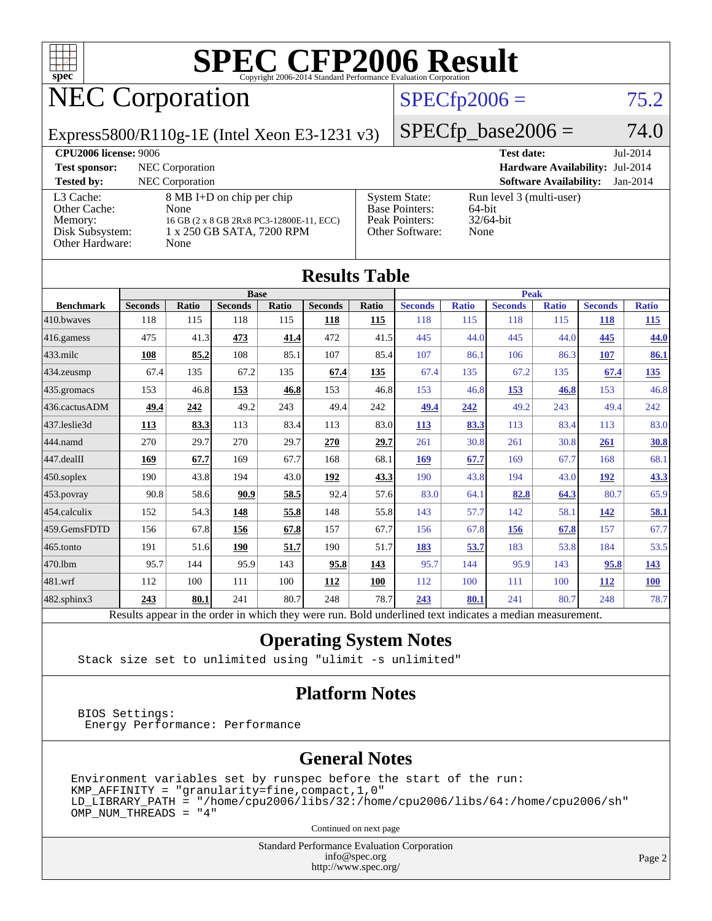

### NEC Corporation

### $SPECfp2006 = 75.2$  $SPECfp2006 = 75.2$

Express5800/R110g-1E (Intel Xeon E3-1231 v3)

 $SPECfp\_base2006 = 74.0$ **[CPU2006 license:](http://www.spec.org/auto/cpu2006/Docs/result-fields.html#CPU2006license)** 9006 **[Test date:](http://www.spec.org/auto/cpu2006/Docs/result-fields.html#Testdate)** Jul-2014

| <b>Test sponsor:</b>                                                       | NEC Corporation                                                                                                    |                                                                                    | Hardware Availability: Jul-2014                            |          |
|----------------------------------------------------------------------------|--------------------------------------------------------------------------------------------------------------------|------------------------------------------------------------------------------------|------------------------------------------------------------|----------|
| <b>Tested by:</b>                                                          | NEC Corporation                                                                                                    |                                                                                    | <b>Software Availability:</b>                              | Jan-2014 |
| L3 Cache:<br>Other Cache:<br>Memory:<br>Disk Subsystem:<br>Other Hardware: | 8 MB I+D on chip per chip<br>None<br>16 GB (2 x 8 GB 2Rx8 PC3-12800E-11, ECC)<br>1 x 250 GB SATA, 7200 RPM<br>None | <b>System State:</b><br><b>Base Pointers:</b><br>Peak Pointers:<br>Other Software: | Run level 3 (multi-user)<br>64-bit<br>$32/64$ -bit<br>None |          |

| <b>Results Table</b>                                                                                     |                |              |                |       |                |       |                |              |                |              |                |              |
|----------------------------------------------------------------------------------------------------------|----------------|--------------|----------------|-------|----------------|-------|----------------|--------------|----------------|--------------|----------------|--------------|
|                                                                                                          | <b>Base</b>    |              |                |       | <b>Peak</b>    |       |                |              |                |              |                |              |
| <b>Benchmark</b>                                                                                         | <b>Seconds</b> | <b>Ratio</b> | <b>Seconds</b> | Ratio | <b>Seconds</b> | Ratio | <b>Seconds</b> | <b>Ratio</b> | <b>Seconds</b> | <b>Ratio</b> | <b>Seconds</b> | <b>Ratio</b> |
| 410.bwayes                                                                                               | 118            | 115          | 118            | 115   | 118            | 115   | 118            | 115          | 118            | 115          | 118            | 115          |
| 416.gamess                                                                                               | 475            | 41.3         | 473            | 41.4  | 472            | 41.5  | 445            | 44.0         | 445            | 44.0         | 445            | 44.0         |
| $433$ .milc                                                                                              | 108            | 85.2         | 108            | 85.1  | 107            | 85.4  | 107            | 86.1         | 106            | 86.3         | 107            | 86.1         |
| 434.zeusmp                                                                                               | 67.4           | 135          | 67.2           | 135   | 67.4           | 135   | 67.4           | 135          | 67.2           | 135          | 67.4           | <u>135</u>   |
| 435.gromacs                                                                                              | 153            | 46.8         | 153            | 46.8  | 153            | 46.8  | 153            | 46.8         | 153            | 46.8         | 153            | 46.8         |
| 436.cactusADM                                                                                            | 49.4           | 242          | 49.2           | 243   | 49.4           | 242   | 49.4           | 242          | 49.2           | 243          | 49.4           | 242          |
| 437.leslie3d                                                                                             | 113            | 83.3         | 113            | 83.4  | 113            | 83.0  | 113            | 83.3         | 113            | 83.4         | 113            | 83.0         |
| 444.namd                                                                                                 | 270            | 29.7         | 270            | 29.7  | 270            | 29.7  | 261            | 30.8         | 261            | 30.8         | 261            | 30.8         |
| 447.dealII                                                                                               | 169            | 67.7         | 169            | 67.7  | 168            | 68.1  | 169            | 67.7         | 169            | 67.7         | 168            | 68.1         |
| 450.soplex                                                                                               | 190            | 43.8         | 194            | 43.0  | 192            | 43.3  | 190            | 43.8         | 194            | 43.0         | 192            | 43.3         |
| 453.povray                                                                                               | 90.8           | 58.6         | 90.9           | 58.5  | 92.4           | 57.6  | 83.0           | 64.1         | 82.8           | 64.3         | 80.7           | 65.9         |
| 454.calculix                                                                                             | 152            | 54.3         | 148            | 55.8  | 148            | 55.8  | 143            | 57.7         | 142            | 58.1         | 142            | 58.1         |
| 459.GemsFDTD                                                                                             | 156            | 67.8         | 156            | 67.8  | 157            | 67.7  | 156            | 67.8         | 156            | 67.8         | 157            | 67.7         |
| 465.tonto                                                                                                | 191            | 51.6         | 190            | 51.7  | 190            | 51.7  | 183            | 53.7         | 183            | 53.8         | 184            | 53.5         |
| 470.1bm                                                                                                  | 95.7           | 144          | 95.9           | 143   | 95.8           | 143   | 95.7           | 144          | 95.9           | 143          | 95.8           | <u>143</u>   |
| 481.wrf                                                                                                  | 112            | 100          | 111            | 100   | 112            | 100   | 112            | 100          | 111            | 100          | 112            | <b>100</b>   |
| 482.sphinx3                                                                                              | 243            | 80.1         | 241            | 80.7  | 248            | 78.7  | 243            | 80.1         | 241            | 80.7         | 248            | 78.7         |
| Results appear in the order in which they were run. Bold underlined text indicates a median measurement. |                |              |                |       |                |       |                |              |                |              |                |              |

#### **[Operating System Notes](http://www.spec.org/auto/cpu2006/Docs/result-fields.html#OperatingSystemNotes)**

Stack size set to unlimited using "ulimit -s unlimited"

#### **[Platform Notes](http://www.spec.org/auto/cpu2006/Docs/result-fields.html#PlatformNotes)**

 BIOS Settings: Energy Performance: Performance

#### **[General Notes](http://www.spec.org/auto/cpu2006/Docs/result-fields.html#GeneralNotes)**

Environment variables set by runspec before the start of the run:  $KMP_A$ FFINITY = "granularity=fine, compact, 1, 0"  $LD$ \_LIBRARY\_PATH = "/home/cpu2006/libs/32:/home/cpu2006/libs/64:/home/cpu2006/sh" OMP\_NUM\_THREADS = "4"

Continued on next page

Standard Performance Evaluation Corporation [info@spec.org](mailto:info@spec.org) <http://www.spec.org/>

Page 2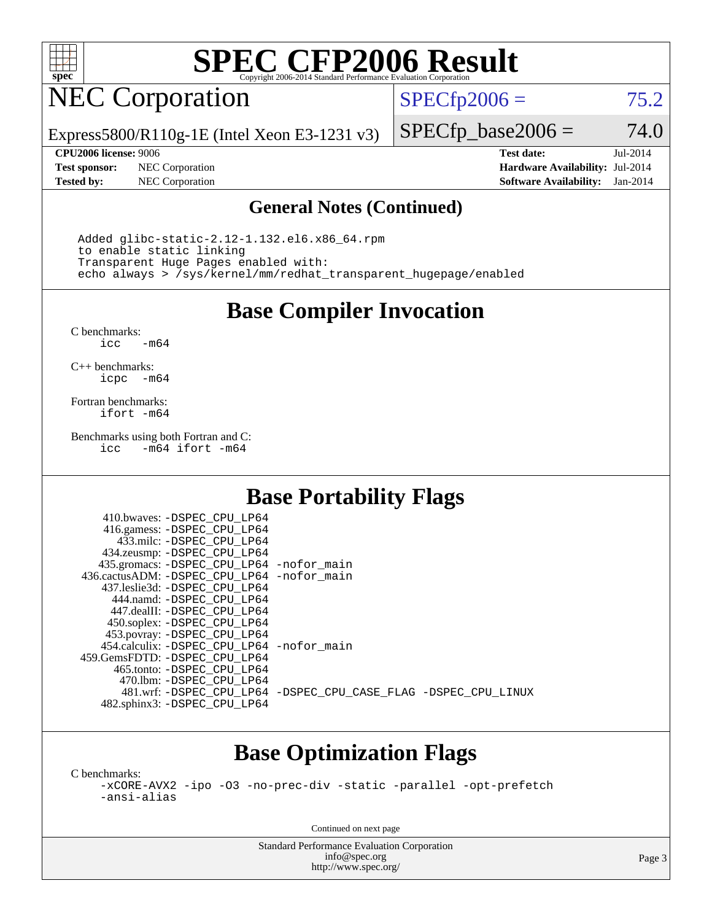

### NEC Corporation

 $SPECTp2006 = 75.2$ 

Express5800/R110g-1E (Intel Xeon E3-1231 v3)

**[Test sponsor:](http://www.spec.org/auto/cpu2006/Docs/result-fields.html#Testsponsor)** NEC Corporation **[Hardware Availability:](http://www.spec.org/auto/cpu2006/Docs/result-fields.html#HardwareAvailability)** Jul-2014

 $SPECfp\_base2006 = 74.0$ **[CPU2006 license:](http://www.spec.org/auto/cpu2006/Docs/result-fields.html#CPU2006license)** 9006 **[Test date:](http://www.spec.org/auto/cpu2006/Docs/result-fields.html#Testdate)** Jul-2014

**[Tested by:](http://www.spec.org/auto/cpu2006/Docs/result-fields.html#Testedby)** NEC Corporation **[Software Availability:](http://www.spec.org/auto/cpu2006/Docs/result-fields.html#SoftwareAvailability)** Jan-2014

#### **[General Notes \(Continued\)](http://www.spec.org/auto/cpu2006/Docs/result-fields.html#GeneralNotes)**

 Added glibc-static-2.12-1.132.el6.x86\_64.rpm to enable static linking Transparent Huge Pages enabled with: echo always > /sys/kernel/mm/redhat\_transparent\_hugepage/enabled

**[Base Compiler Invocation](http://www.spec.org/auto/cpu2006/Docs/result-fields.html#BaseCompilerInvocation)**

[C benchmarks](http://www.spec.org/auto/cpu2006/Docs/result-fields.html#Cbenchmarks):  $-m64$ 

[C++ benchmarks:](http://www.spec.org/auto/cpu2006/Docs/result-fields.html#CXXbenchmarks) [icpc -m64](http://www.spec.org/cpu2006/results/res2014q3/cpu2006-20140805-30761.flags.html#user_CXXbase_intel_icpc_64bit_bedb90c1146cab66620883ef4f41a67e)

[Fortran benchmarks](http://www.spec.org/auto/cpu2006/Docs/result-fields.html#Fortranbenchmarks): [ifort -m64](http://www.spec.org/cpu2006/results/res2014q3/cpu2006-20140805-30761.flags.html#user_FCbase_intel_ifort_64bit_ee9d0fb25645d0210d97eb0527dcc06e)

[Benchmarks using both Fortran and C](http://www.spec.org/auto/cpu2006/Docs/result-fields.html#BenchmarksusingbothFortranandC): [icc -m64](http://www.spec.org/cpu2006/results/res2014q3/cpu2006-20140805-30761.flags.html#user_CC_FCbase_intel_icc_64bit_0b7121f5ab7cfabee23d88897260401c) [ifort -m64](http://www.spec.org/cpu2006/results/res2014q3/cpu2006-20140805-30761.flags.html#user_CC_FCbase_intel_ifort_64bit_ee9d0fb25645d0210d97eb0527dcc06e)

### **[Base Portability Flags](http://www.spec.org/auto/cpu2006/Docs/result-fields.html#BasePortabilityFlags)**

| 410.bwaves: -DSPEC CPU LP64                |                                                                |
|--------------------------------------------|----------------------------------------------------------------|
| 416.gamess: -DSPEC_CPU_LP64                |                                                                |
| 433.milc: -DSPEC CPU LP64                  |                                                                |
| 434.zeusmp: -DSPEC_CPU_LP64                |                                                                |
| 435.gromacs: -DSPEC_CPU_LP64 -nofor_main   |                                                                |
| 436.cactusADM: -DSPEC CPU LP64 -nofor main |                                                                |
| 437.leslie3d: -DSPEC CPU LP64              |                                                                |
| 444.namd: - DSPEC_CPU LP64                 |                                                                |
| 447.dealII: -DSPEC CPU LP64                |                                                                |
| 450.soplex: -DSPEC_CPU_LP64                |                                                                |
| 453.povray: -DSPEC_CPU_LP64                |                                                                |
| 454.calculix: -DSPEC_CPU_LP64 -nofor_main  |                                                                |
| 459. GemsFDTD: - DSPEC CPU LP64            |                                                                |
| 465.tonto: - DSPEC CPU LP64                |                                                                |
| 470.1bm: - DSPEC CPU LP64                  |                                                                |
|                                            | 481.wrf: -DSPEC CPU_LP64 -DSPEC_CPU_CASE_FLAG -DSPEC_CPU_LINUX |
| 482.sphinx3: -DSPEC_CPU_LP64               |                                                                |

### **[Base Optimization Flags](http://www.spec.org/auto/cpu2006/Docs/result-fields.html#BaseOptimizationFlags)**

[C benchmarks](http://www.spec.org/auto/cpu2006/Docs/result-fields.html#Cbenchmarks):

[-xCORE-AVX2](http://www.spec.org/cpu2006/results/res2014q3/cpu2006-20140805-30761.flags.html#user_CCbase_f-xAVX2_5f5fc0cbe2c9f62c816d3e45806c70d7) [-ipo](http://www.spec.org/cpu2006/results/res2014q3/cpu2006-20140805-30761.flags.html#user_CCbase_f-ipo) [-O3](http://www.spec.org/cpu2006/results/res2014q3/cpu2006-20140805-30761.flags.html#user_CCbase_f-O3) [-no-prec-div](http://www.spec.org/cpu2006/results/res2014q3/cpu2006-20140805-30761.flags.html#user_CCbase_f-no-prec-div) [-static](http://www.spec.org/cpu2006/results/res2014q3/cpu2006-20140805-30761.flags.html#user_CCbase_f-static) [-parallel](http://www.spec.org/cpu2006/results/res2014q3/cpu2006-20140805-30761.flags.html#user_CCbase_f-parallel) [-opt-prefetch](http://www.spec.org/cpu2006/results/res2014q3/cpu2006-20140805-30761.flags.html#user_CCbase_f-opt-prefetch) [-ansi-alias](http://www.spec.org/cpu2006/results/res2014q3/cpu2006-20140805-30761.flags.html#user_CCbase_f-ansi-alias)

Continued on next page

Standard Performance Evaluation Corporation [info@spec.org](mailto:info@spec.org) <http://www.spec.org/>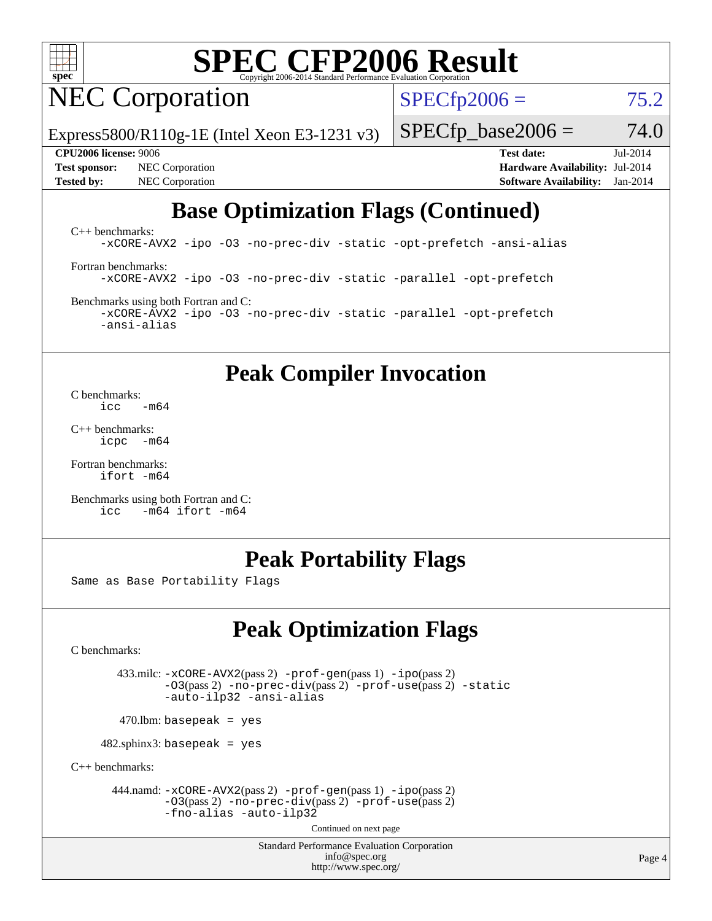

NEC Corporation

 $SPECfp2006 = 75.2$  $SPECfp2006 = 75.2$ 

Express5800/R110g-1E (Intel Xeon E3-1231 v3)

**[Test sponsor:](http://www.spec.org/auto/cpu2006/Docs/result-fields.html#Testsponsor)** NEC Corporation **[Hardware Availability:](http://www.spec.org/auto/cpu2006/Docs/result-fields.html#HardwareAvailability)** Jul-2014 **[Tested by:](http://www.spec.org/auto/cpu2006/Docs/result-fields.html#Testedby)** NEC Corporation **[Software Availability:](http://www.spec.org/auto/cpu2006/Docs/result-fields.html#SoftwareAvailability)** Jan-2014

**[CPU2006 license:](http://www.spec.org/auto/cpu2006/Docs/result-fields.html#CPU2006license)** 9006 **[Test date:](http://www.spec.org/auto/cpu2006/Docs/result-fields.html#Testdate)** Jul-2014

 $SPECfp\_base2006 = 74.0$ 

### **[Base Optimization Flags \(Continued\)](http://www.spec.org/auto/cpu2006/Docs/result-fields.html#BaseOptimizationFlags)**

[C++ benchmarks:](http://www.spec.org/auto/cpu2006/Docs/result-fields.html#CXXbenchmarks) [-xCORE-AVX2](http://www.spec.org/cpu2006/results/res2014q3/cpu2006-20140805-30761.flags.html#user_CXXbase_f-xAVX2_5f5fc0cbe2c9f62c816d3e45806c70d7) [-ipo](http://www.spec.org/cpu2006/results/res2014q3/cpu2006-20140805-30761.flags.html#user_CXXbase_f-ipo) [-O3](http://www.spec.org/cpu2006/results/res2014q3/cpu2006-20140805-30761.flags.html#user_CXXbase_f-O3) [-no-prec-div](http://www.spec.org/cpu2006/results/res2014q3/cpu2006-20140805-30761.flags.html#user_CXXbase_f-no-prec-div) [-static](http://www.spec.org/cpu2006/results/res2014q3/cpu2006-20140805-30761.flags.html#user_CXXbase_f-static) [-opt-prefetch](http://www.spec.org/cpu2006/results/res2014q3/cpu2006-20140805-30761.flags.html#user_CXXbase_f-opt-prefetch) [-ansi-alias](http://www.spec.org/cpu2006/results/res2014q3/cpu2006-20140805-30761.flags.html#user_CXXbase_f-ansi-alias)

[Fortran benchmarks](http://www.spec.org/auto/cpu2006/Docs/result-fields.html#Fortranbenchmarks): [-xCORE-AVX2](http://www.spec.org/cpu2006/results/res2014q3/cpu2006-20140805-30761.flags.html#user_FCbase_f-xAVX2_5f5fc0cbe2c9f62c816d3e45806c70d7) [-ipo](http://www.spec.org/cpu2006/results/res2014q3/cpu2006-20140805-30761.flags.html#user_FCbase_f-ipo) [-O3](http://www.spec.org/cpu2006/results/res2014q3/cpu2006-20140805-30761.flags.html#user_FCbase_f-O3) [-no-prec-div](http://www.spec.org/cpu2006/results/res2014q3/cpu2006-20140805-30761.flags.html#user_FCbase_f-no-prec-div) [-static](http://www.spec.org/cpu2006/results/res2014q3/cpu2006-20140805-30761.flags.html#user_FCbase_f-static) [-parallel](http://www.spec.org/cpu2006/results/res2014q3/cpu2006-20140805-30761.flags.html#user_FCbase_f-parallel) [-opt-prefetch](http://www.spec.org/cpu2006/results/res2014q3/cpu2006-20140805-30761.flags.html#user_FCbase_f-opt-prefetch)

[Benchmarks using both Fortran and C](http://www.spec.org/auto/cpu2006/Docs/result-fields.html#BenchmarksusingbothFortranandC): [-xCORE-AVX2](http://www.spec.org/cpu2006/results/res2014q3/cpu2006-20140805-30761.flags.html#user_CC_FCbase_f-xAVX2_5f5fc0cbe2c9f62c816d3e45806c70d7) [-ipo](http://www.spec.org/cpu2006/results/res2014q3/cpu2006-20140805-30761.flags.html#user_CC_FCbase_f-ipo) [-O3](http://www.spec.org/cpu2006/results/res2014q3/cpu2006-20140805-30761.flags.html#user_CC_FCbase_f-O3) [-no-prec-div](http://www.spec.org/cpu2006/results/res2014q3/cpu2006-20140805-30761.flags.html#user_CC_FCbase_f-no-prec-div) [-static](http://www.spec.org/cpu2006/results/res2014q3/cpu2006-20140805-30761.flags.html#user_CC_FCbase_f-static) [-parallel](http://www.spec.org/cpu2006/results/res2014q3/cpu2006-20140805-30761.flags.html#user_CC_FCbase_f-parallel) [-opt-prefetch](http://www.spec.org/cpu2006/results/res2014q3/cpu2006-20140805-30761.flags.html#user_CC_FCbase_f-opt-prefetch) [-ansi-alias](http://www.spec.org/cpu2006/results/res2014q3/cpu2006-20140805-30761.flags.html#user_CC_FCbase_f-ansi-alias)

**[Peak Compiler Invocation](http://www.spec.org/auto/cpu2006/Docs/result-fields.html#PeakCompilerInvocation)**

[C benchmarks](http://www.spec.org/auto/cpu2006/Docs/result-fields.html#Cbenchmarks):<br> $\frac{icc}{c}$  $-m64$ 

[C++ benchmarks:](http://www.spec.org/auto/cpu2006/Docs/result-fields.html#CXXbenchmarks) [icpc -m64](http://www.spec.org/cpu2006/results/res2014q3/cpu2006-20140805-30761.flags.html#user_CXXpeak_intel_icpc_64bit_bedb90c1146cab66620883ef4f41a67e)

[Fortran benchmarks](http://www.spec.org/auto/cpu2006/Docs/result-fields.html#Fortranbenchmarks): [ifort -m64](http://www.spec.org/cpu2006/results/res2014q3/cpu2006-20140805-30761.flags.html#user_FCpeak_intel_ifort_64bit_ee9d0fb25645d0210d97eb0527dcc06e)

[Benchmarks using both Fortran and C](http://www.spec.org/auto/cpu2006/Docs/result-fields.html#BenchmarksusingbothFortranandC): [icc -m64](http://www.spec.org/cpu2006/results/res2014q3/cpu2006-20140805-30761.flags.html#user_CC_FCpeak_intel_icc_64bit_0b7121f5ab7cfabee23d88897260401c) [ifort -m64](http://www.spec.org/cpu2006/results/res2014q3/cpu2006-20140805-30761.flags.html#user_CC_FCpeak_intel_ifort_64bit_ee9d0fb25645d0210d97eb0527dcc06e)

### **[Peak Portability Flags](http://www.spec.org/auto/cpu2006/Docs/result-fields.html#PeakPortabilityFlags)**

Same as Base Portability Flags

### **[Peak Optimization Flags](http://www.spec.org/auto/cpu2006/Docs/result-fields.html#PeakOptimizationFlags)**

[C benchmarks](http://www.spec.org/auto/cpu2006/Docs/result-fields.html#Cbenchmarks):

 433.milc: [-xCORE-AVX2](http://www.spec.org/cpu2006/results/res2014q3/cpu2006-20140805-30761.flags.html#user_peakPASS2_CFLAGSPASS2_LDFLAGS433_milc_f-xAVX2_5f5fc0cbe2c9f62c816d3e45806c70d7)(pass 2) [-prof-gen](http://www.spec.org/cpu2006/results/res2014q3/cpu2006-20140805-30761.flags.html#user_peakPASS1_CFLAGSPASS1_LDFLAGS433_milc_prof_gen_e43856698f6ca7b7e442dfd80e94a8fc)(pass 1) [-ipo](http://www.spec.org/cpu2006/results/res2014q3/cpu2006-20140805-30761.flags.html#user_peakPASS2_CFLAGSPASS2_LDFLAGS433_milc_f-ipo)(pass 2) [-O3](http://www.spec.org/cpu2006/results/res2014q3/cpu2006-20140805-30761.flags.html#user_peakPASS2_CFLAGSPASS2_LDFLAGS433_milc_f-O3)(pass 2) [-no-prec-div](http://www.spec.org/cpu2006/results/res2014q3/cpu2006-20140805-30761.flags.html#user_peakPASS2_CFLAGSPASS2_LDFLAGS433_milc_f-no-prec-div)(pass 2) [-prof-use](http://www.spec.org/cpu2006/results/res2014q3/cpu2006-20140805-30761.flags.html#user_peakPASS2_CFLAGSPASS2_LDFLAGS433_milc_prof_use_bccf7792157ff70d64e32fe3e1250b55)(pass 2) [-static](http://www.spec.org/cpu2006/results/res2014q3/cpu2006-20140805-30761.flags.html#user_peakOPTIMIZE433_milc_f-static) [-auto-ilp32](http://www.spec.org/cpu2006/results/res2014q3/cpu2006-20140805-30761.flags.html#user_peakCOPTIMIZE433_milc_f-auto-ilp32) [-ansi-alias](http://www.spec.org/cpu2006/results/res2014q3/cpu2006-20140805-30761.flags.html#user_peakCOPTIMIZE433_milc_f-ansi-alias)

 $470.$ lbm: basepeak = yes

 $482$ .sphinx3: basepeak = yes

[C++ benchmarks:](http://www.spec.org/auto/cpu2006/Docs/result-fields.html#CXXbenchmarks)

 444.namd: [-xCORE-AVX2](http://www.spec.org/cpu2006/results/res2014q3/cpu2006-20140805-30761.flags.html#user_peakPASS2_CXXFLAGSPASS2_LDFLAGS444_namd_f-xAVX2_5f5fc0cbe2c9f62c816d3e45806c70d7)(pass 2) [-prof-gen](http://www.spec.org/cpu2006/results/res2014q3/cpu2006-20140805-30761.flags.html#user_peakPASS1_CXXFLAGSPASS1_LDFLAGS444_namd_prof_gen_e43856698f6ca7b7e442dfd80e94a8fc)(pass 1) [-ipo](http://www.spec.org/cpu2006/results/res2014q3/cpu2006-20140805-30761.flags.html#user_peakPASS2_CXXFLAGSPASS2_LDFLAGS444_namd_f-ipo)(pass 2) [-O3](http://www.spec.org/cpu2006/results/res2014q3/cpu2006-20140805-30761.flags.html#user_peakPASS2_CXXFLAGSPASS2_LDFLAGS444_namd_f-O3)(pass 2) [-no-prec-div](http://www.spec.org/cpu2006/results/res2014q3/cpu2006-20140805-30761.flags.html#user_peakPASS2_CXXFLAGSPASS2_LDFLAGS444_namd_f-no-prec-div)(pass 2) [-prof-use](http://www.spec.org/cpu2006/results/res2014q3/cpu2006-20140805-30761.flags.html#user_peakPASS2_CXXFLAGSPASS2_LDFLAGS444_namd_prof_use_bccf7792157ff70d64e32fe3e1250b55)(pass 2) [-fno-alias](http://www.spec.org/cpu2006/results/res2014q3/cpu2006-20140805-30761.flags.html#user_peakCXXOPTIMIZEOPTIMIZE444_namd_f-no-alias_694e77f6c5a51e658e82ccff53a9e63a) [-auto-ilp32](http://www.spec.org/cpu2006/results/res2014q3/cpu2006-20140805-30761.flags.html#user_peakCXXOPTIMIZE444_namd_f-auto-ilp32)

Continued on next page

Standard Performance Evaluation Corporation [info@spec.org](mailto:info@spec.org) <http://www.spec.org/>

Page 4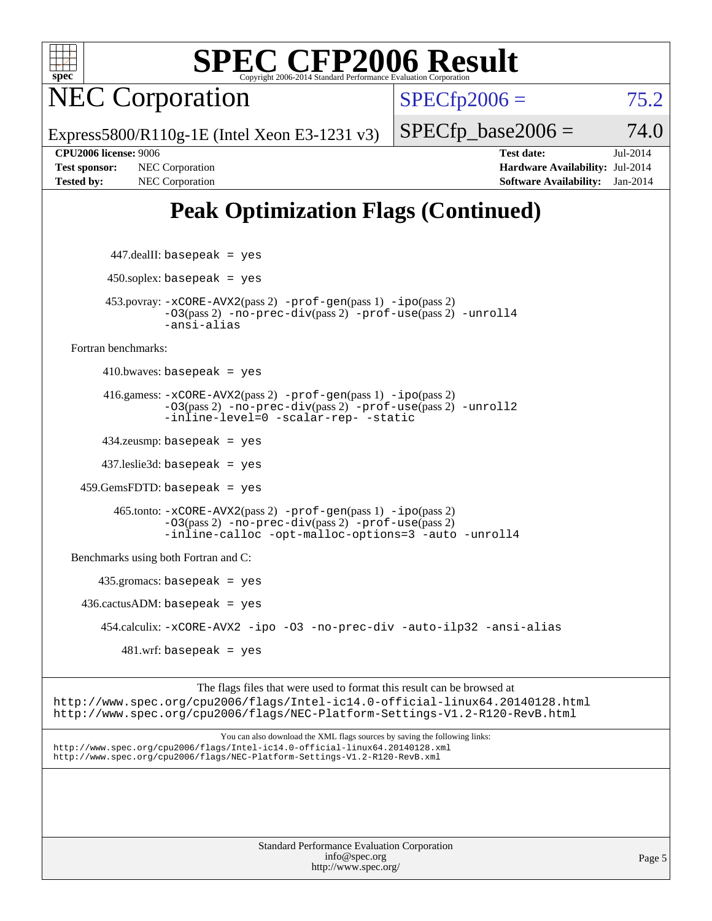

NEC Corporation

 $SPECfp2006 = 75.2$  $SPECfp2006 = 75.2$ 

Express5800/R110g-1E (Intel Xeon E3-1231 v3)

**[Tested by:](http://www.spec.org/auto/cpu2006/Docs/result-fields.html#Testedby)** NEC Corporation **[Software Availability:](http://www.spec.org/auto/cpu2006/Docs/result-fields.html#SoftwareAvailability)** Jan-2014

**[CPU2006 license:](http://www.spec.org/auto/cpu2006/Docs/result-fields.html#CPU2006license)** 9006 **[Test date:](http://www.spec.org/auto/cpu2006/Docs/result-fields.html#Testdate)** Jul-2014 **[Test sponsor:](http://www.spec.org/auto/cpu2006/Docs/result-fields.html#Testsponsor)** NEC Corporation **[Hardware Availability:](http://www.spec.org/auto/cpu2006/Docs/result-fields.html#HardwareAvailability)** Jul-2014

 $SPECTp\_base2006 = 74.0$ 

### **[Peak Optimization Flags \(Continued\)](http://www.spec.org/auto/cpu2006/Docs/result-fields.html#PeakOptimizationFlags)**

 447.dealII: basepeak = yes  $450$ .soplex: basepeak = yes 453.povray: [-xCORE-AVX2](http://www.spec.org/cpu2006/results/res2014q3/cpu2006-20140805-30761.flags.html#user_peakPASS2_CXXFLAGSPASS2_LDFLAGS453_povray_f-xAVX2_5f5fc0cbe2c9f62c816d3e45806c70d7)(pass 2) [-prof-gen](http://www.spec.org/cpu2006/results/res2014q3/cpu2006-20140805-30761.flags.html#user_peakPASS1_CXXFLAGSPASS1_LDFLAGS453_povray_prof_gen_e43856698f6ca7b7e442dfd80e94a8fc)(pass 1) [-ipo](http://www.spec.org/cpu2006/results/res2014q3/cpu2006-20140805-30761.flags.html#user_peakPASS2_CXXFLAGSPASS2_LDFLAGS453_povray_f-ipo)(pass 2) [-O3](http://www.spec.org/cpu2006/results/res2014q3/cpu2006-20140805-30761.flags.html#user_peakPASS2_CXXFLAGSPASS2_LDFLAGS453_povray_f-O3)(pass 2) [-no-prec-div](http://www.spec.org/cpu2006/results/res2014q3/cpu2006-20140805-30761.flags.html#user_peakPASS2_CXXFLAGSPASS2_LDFLAGS453_povray_f-no-prec-div)(pass 2) [-prof-use](http://www.spec.org/cpu2006/results/res2014q3/cpu2006-20140805-30761.flags.html#user_peakPASS2_CXXFLAGSPASS2_LDFLAGS453_povray_prof_use_bccf7792157ff70d64e32fe3e1250b55)(pass 2) [-unroll4](http://www.spec.org/cpu2006/results/res2014q3/cpu2006-20140805-30761.flags.html#user_peakCXXOPTIMIZE453_povray_f-unroll_4e5e4ed65b7fd20bdcd365bec371b81f) [-ansi-alias](http://www.spec.org/cpu2006/results/res2014q3/cpu2006-20140805-30761.flags.html#user_peakCXXOPTIMIZE453_povray_f-ansi-alias) [Fortran benchmarks](http://www.spec.org/auto/cpu2006/Docs/result-fields.html#Fortranbenchmarks):  $410.bwaves: basepeak = yes$  416.gamess: [-xCORE-AVX2](http://www.spec.org/cpu2006/results/res2014q3/cpu2006-20140805-30761.flags.html#user_peakPASS2_FFLAGSPASS2_LDFLAGS416_gamess_f-xAVX2_5f5fc0cbe2c9f62c816d3e45806c70d7)(pass 2) [-prof-gen](http://www.spec.org/cpu2006/results/res2014q3/cpu2006-20140805-30761.flags.html#user_peakPASS1_FFLAGSPASS1_LDFLAGS416_gamess_prof_gen_e43856698f6ca7b7e442dfd80e94a8fc)(pass 1) [-ipo](http://www.spec.org/cpu2006/results/res2014q3/cpu2006-20140805-30761.flags.html#user_peakPASS2_FFLAGSPASS2_LDFLAGS416_gamess_f-ipo)(pass 2) [-O3](http://www.spec.org/cpu2006/results/res2014q3/cpu2006-20140805-30761.flags.html#user_peakPASS2_FFLAGSPASS2_LDFLAGS416_gamess_f-O3)(pass 2) [-no-prec-div](http://www.spec.org/cpu2006/results/res2014q3/cpu2006-20140805-30761.flags.html#user_peakPASS2_FFLAGSPASS2_LDFLAGS416_gamess_f-no-prec-div)(pass 2) [-prof-use](http://www.spec.org/cpu2006/results/res2014q3/cpu2006-20140805-30761.flags.html#user_peakPASS2_FFLAGSPASS2_LDFLAGS416_gamess_prof_use_bccf7792157ff70d64e32fe3e1250b55)(pass 2) [-unroll2](http://www.spec.org/cpu2006/results/res2014q3/cpu2006-20140805-30761.flags.html#user_peakOPTIMIZE416_gamess_f-unroll_784dae83bebfb236979b41d2422d7ec2) [-inline-level=0](http://www.spec.org/cpu2006/results/res2014q3/cpu2006-20140805-30761.flags.html#user_peakOPTIMIZE416_gamess_f-inline-level_318d07a09274ad25e8d15dbfaa68ba50) [-scalar-rep-](http://www.spec.org/cpu2006/results/res2014q3/cpu2006-20140805-30761.flags.html#user_peakOPTIMIZE416_gamess_f-disablescalarrep_abbcad04450fb118e4809c81d83c8a1d) [-static](http://www.spec.org/cpu2006/results/res2014q3/cpu2006-20140805-30761.flags.html#user_peakOPTIMIZE416_gamess_f-static) 434.zeusmp: basepeak = yes 437.leslie3d: basepeak = yes 459.GemsFDTD: basepeak = yes 465.tonto: [-xCORE-AVX2](http://www.spec.org/cpu2006/results/res2014q3/cpu2006-20140805-30761.flags.html#user_peakPASS2_FFLAGSPASS2_LDFLAGS465_tonto_f-xAVX2_5f5fc0cbe2c9f62c816d3e45806c70d7)(pass 2) [-prof-gen](http://www.spec.org/cpu2006/results/res2014q3/cpu2006-20140805-30761.flags.html#user_peakPASS1_FFLAGSPASS1_LDFLAGS465_tonto_prof_gen_e43856698f6ca7b7e442dfd80e94a8fc)(pass 1) [-ipo](http://www.spec.org/cpu2006/results/res2014q3/cpu2006-20140805-30761.flags.html#user_peakPASS2_FFLAGSPASS2_LDFLAGS465_tonto_f-ipo)(pass 2) [-O3](http://www.spec.org/cpu2006/results/res2014q3/cpu2006-20140805-30761.flags.html#user_peakPASS2_FFLAGSPASS2_LDFLAGS465_tonto_f-O3)(pass 2) [-no-prec-div](http://www.spec.org/cpu2006/results/res2014q3/cpu2006-20140805-30761.flags.html#user_peakPASS2_FFLAGSPASS2_LDFLAGS465_tonto_f-no-prec-div)(pass 2) [-prof-use](http://www.spec.org/cpu2006/results/res2014q3/cpu2006-20140805-30761.flags.html#user_peakPASS2_FFLAGSPASS2_LDFLAGS465_tonto_prof_use_bccf7792157ff70d64e32fe3e1250b55)(pass 2) [-inline-calloc](http://www.spec.org/cpu2006/results/res2014q3/cpu2006-20140805-30761.flags.html#user_peakOPTIMIZE465_tonto_f-inline-calloc) [-opt-malloc-options=3](http://www.spec.org/cpu2006/results/res2014q3/cpu2006-20140805-30761.flags.html#user_peakOPTIMIZE465_tonto_f-opt-malloc-options_13ab9b803cf986b4ee62f0a5998c2238) [-auto](http://www.spec.org/cpu2006/results/res2014q3/cpu2006-20140805-30761.flags.html#user_peakOPTIMIZE465_tonto_f-auto) [-unroll4](http://www.spec.org/cpu2006/results/res2014q3/cpu2006-20140805-30761.flags.html#user_peakOPTIMIZE465_tonto_f-unroll_4e5e4ed65b7fd20bdcd365bec371b81f) [Benchmarks using both Fortran and C](http://www.spec.org/auto/cpu2006/Docs/result-fields.html#BenchmarksusingbothFortranandC): 435.gromacs: basepeak = yes  $436.cactusADM: basepeak = yes$  454.calculix: [-xCORE-AVX2](http://www.spec.org/cpu2006/results/res2014q3/cpu2006-20140805-30761.flags.html#user_peakOPTIMIZE454_calculix_f-xAVX2_5f5fc0cbe2c9f62c816d3e45806c70d7) [-ipo](http://www.spec.org/cpu2006/results/res2014q3/cpu2006-20140805-30761.flags.html#user_peakOPTIMIZE454_calculix_f-ipo) [-O3](http://www.spec.org/cpu2006/results/res2014q3/cpu2006-20140805-30761.flags.html#user_peakOPTIMIZE454_calculix_f-O3) [-no-prec-div](http://www.spec.org/cpu2006/results/res2014q3/cpu2006-20140805-30761.flags.html#user_peakOPTIMIZE454_calculix_f-no-prec-div) [-auto-ilp32](http://www.spec.org/cpu2006/results/res2014q3/cpu2006-20140805-30761.flags.html#user_peakCOPTIMIZE454_calculix_f-auto-ilp32) [-ansi-alias](http://www.spec.org/cpu2006/results/res2014q3/cpu2006-20140805-30761.flags.html#user_peakCOPTIMIZE454_calculix_f-ansi-alias)  $481 \text{.m}$ : basepeak = yes

The flags files that were used to format this result can be browsed at <http://www.spec.org/cpu2006/flags/Intel-ic14.0-official-linux64.20140128.html> <http://www.spec.org/cpu2006/flags/NEC-Platform-Settings-V1.2-R120-RevB.html>

You can also download the XML flags sources by saving the following links: <http://www.spec.org/cpu2006/flags/Intel-ic14.0-official-linux64.20140128.xml> <http://www.spec.org/cpu2006/flags/NEC-Platform-Settings-V1.2-R120-RevB.xml>

> Standard Performance Evaluation Corporation [info@spec.org](mailto:info@spec.org) <http://www.spec.org/>